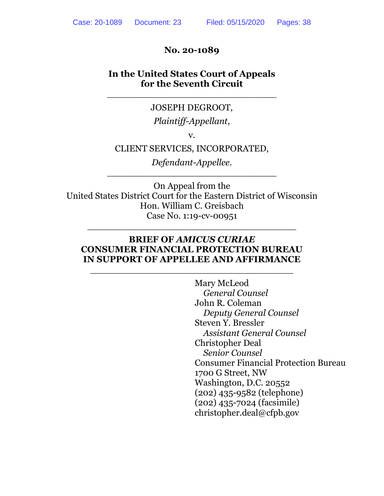#### **No. 20-1089**

### **In the United States Court of Appeals for the Seventh Circuit**

\_\_\_\_\_\_\_\_\_\_\_\_\_\_\_\_\_\_\_\_\_\_\_\_\_\_\_\_\_\_

#### JOSEPH DEGROOT,

### *Plaintiff-Appellant*,

v.

### CLIENT SERVICES, INCORPORATED,

*Defendant-Appellee*. \_\_\_\_\_\_\_\_\_\_\_\_\_\_\_\_\_\_\_\_\_\_\_\_\_\_\_\_\_\_

On Appeal from the United States District Court for the Eastern District of Wisconsin Hon. William C. Greisbach Case No. 1:19-cv-00951

#### **BRIEF OF** *AMICUS CURIAE* **CONSUMER FINANCIAL PROTECTION BUREAU IN SUPPORT OF APPELLEE AND AFFIRMANCE**

\_\_\_\_\_\_\_\_\_\_\_\_\_\_\_\_\_\_\_\_\_\_\_\_\_\_\_\_\_\_\_\_\_\_\_\_

\_\_\_\_\_\_\_\_\_\_\_\_\_\_\_\_\_\_\_\_\_\_\_\_\_\_\_\_\_\_\_\_\_\_\_\_\_

Mary McLeod *General Counsel* John R. Coleman *Deputy General Counsel*  Steven Y. Bressler *Assistant General Counsel* Christopher Deal *Senior Counsel* Consumer Financial Protection Bureau 1700 G Street, NW Washington, D.C. 20552 (202) 435-9582 (telephone) (202) 435-7024 (facsimile) christopher.deal@cfpb.gov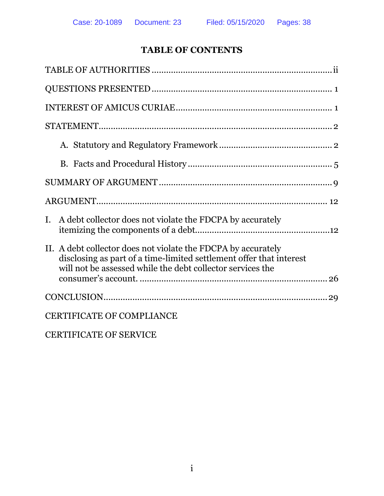# **TABLE OF CONTENTS**

| I. A debt collector does not violate the FDCPA by accurately                                                                                                                                       |
|----------------------------------------------------------------------------------------------------------------------------------------------------------------------------------------------------|
| II. A debt collector does not violate the FDCPA by accurately<br>disclosing as part of a time-limited settlement offer that interest<br>will not be assessed while the debt collector services the |
|                                                                                                                                                                                                    |
| <b>CERTIFICATE OF COMPLIANCE</b>                                                                                                                                                                   |
| <b>CERTIFICATE OF SERVICE</b>                                                                                                                                                                      |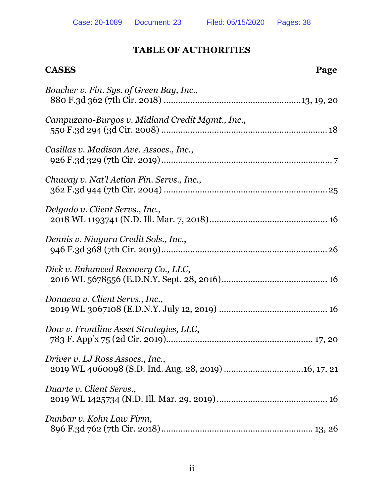### **TABLE OF AUTHORITIES**

# **CASES** Page *Boucher v. Fin. Sys. of Green Bay, Inc.*, 880 F.3d 362 (7th Cir. 2018) .........................................................13, 19, 20 *Campuzano-Burgos v. Midland Credit Mgmt., Inc.*, 550 F.3d 294 (3d Cir. 2008) ..................................................................... 18 *Casillas v. Madison Ave. Assocs., Inc.*, 926 F.3d 329 (7th Cir. 2019)....................................................................... 7 *Chuway v. Nat'l Action Fin. Servs., Inc.*, 362 F.3d 944 (7th Cir. 2004) ....................................................................25 *Delgado v. Client Servs., Inc.*, 2018 WL 1193741 (N.D. Ill. Mar. 7, 2018)................................................. 16 *Dennis v. Niagara Credit Sols., Inc.*, 946 F.3d 368 (7th Cir. 2019).....................................................................26 *Dick v. Enhanced Recovery Co., LLC*, 2016 WL 5678556 (E.D.N.Y. Sept. 28, 2016)............................................ 16 *Donaeva v. Client Servs., Inc.*, 2019 WL 3067108 (E.D.N.Y. July 12, 2019) ............................................. 16 *Dow v. Frontline Asset Strategies, LLC*, 783 F. App'x 75 (2d Cir. 2019)............................................................. 17, 20 *Driver v. LJ Ross Assocs., Inc.*, 2019 WL 4060098 (S.D. Ind. Aug. 28, 2019).................................16, 17, 21 *Duarte v. Client Servs.*, 2019 WL 1425734 (N.D. Ill. Mar. 29, 2019).............................................. 16 *Dunbar v. Kohn Law Firm*, 896 F.3d 762 (7th Cir. 2018)............................................................... 13, 26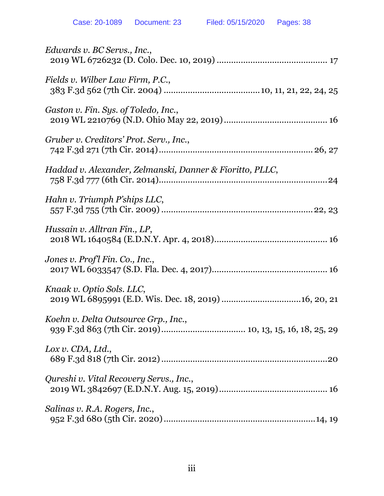| Edwards v. BC Servs., Inc.,                              |
|----------------------------------------------------------|
| Fields v. Wilber Law Firm, P.C.,                         |
| Gaston v. Fin. Sys. of Toledo, Inc.,                     |
| Gruber v. Creditors' Prot. Serv., Inc.,                  |
| Haddad v. Alexander, Zelmanski, Danner & Fioritto, PLLC, |
| Hahn v. Triumph P'ships LLC,                             |
| Hussain v. Alltran Fin., LP,                             |
| Jones v. Profl Fin. Co., Inc.,                           |
| Knaak v. Optio Sols. LLC,                                |
| Koehn v. Delta Outsource Grp., Inc.,                     |
| $Lox$ v. CDA, Ltd.,                                      |
| Qureshi v. Vital Recovery Servs., Inc.,                  |
| Salinas v. R.A. Rogers, Inc.,                            |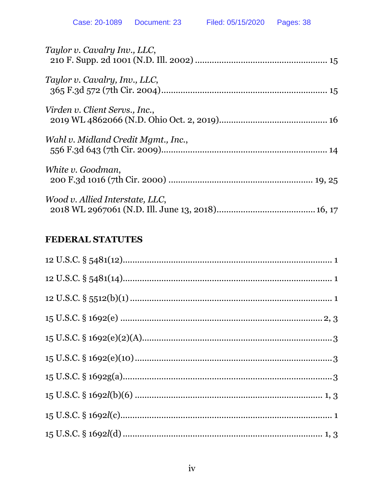| Taylor v. Cavalry Inv., LLC,        |
|-------------------------------------|
| Taylor v. Cavalry, Inv., LLC,       |
| Virden v. Client Servs., Inc.,      |
| Wahl v. Midland Credit Mgmt., Inc., |
| White v. Goodman,                   |
| Wood v. Allied Interstate, LLC,     |

# FEDERAL STATUTES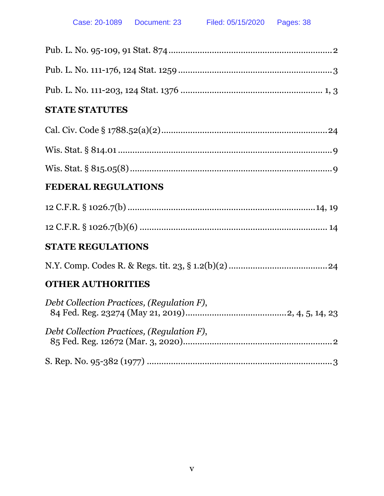# **STATE STATUTES**

# **FEDERAL REGULATIONS**

# **STATE REGULATIONS**

N.Y. Comp. Codes R. & Regs. tit. 23, § 1.2(b)(2).........................................24

# **OTHER AUTHORITIES**

| Debt Collection Practices, (Regulation F), |  |
|--------------------------------------------|--|
| Debt Collection Practices, (Regulation F), |  |
|                                            |  |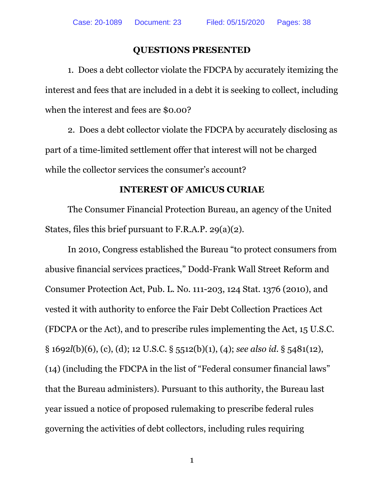#### **QUESTIONS PRESENTED**

1. Does a debt collector violate the FDCPA by accurately itemizing the interest and fees that are included in a debt it is seeking to collect, including when the interest and fees are \$0.00?

2. Does a debt collector violate the FDCPA by accurately disclosing as part of a time-limited settlement offer that interest will not be charged while the collector services the consumer's account?

#### **INTEREST OF AMICUS CURIAE**

The Consumer Financial Protection Bureau, an agency of the United States, files this brief pursuant to F.R.A.P. 29(a)(2).

In 2010, Congress established the Bureau "to protect consumers from abusive financial services practices," Dodd-Frank Wall Street Reform and Consumer Protection Act, Pub. L. No. 111-203, 124 Stat. 1376 (2010), and vested it with authority to enforce the Fair Debt Collection Practices Act (FDCPA or the Act), and to prescribe rules implementing the Act, 15 U.S.C. § 1692*l*(b)(6), (c), (d); 12 U.S.C. § 5512(b)(1), (4); *see also id*. § 5481(12), (14) (including the FDCPA in the list of "Federal consumer financial laws" that the Bureau administers). Pursuant to this authority, the Bureau last year issued a notice of proposed rulemaking to prescribe federal rules governing the activities of debt collectors, including rules requiring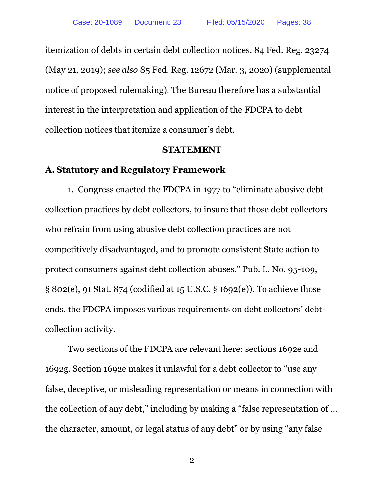itemization of debts in certain debt collection notices. 84 Fed. Reg. 23274 (May 21, 2019); *see also* 85 Fed. Reg. 12672 (Mar. 3, 2020) (supplemental notice of proposed rulemaking). The Bureau therefore has a substantial interest in the interpretation and application of the FDCPA to debt collection notices that itemize a consumer's debt.

#### **STATEMENT**

# **A. Statutory and Regulatory Framework**

1. Congress enacted the FDCPA in 1977 to "eliminate abusive debt collection practices by debt collectors, to insure that those debt collectors who refrain from using abusive debt collection practices are not competitively disadvantaged, and to promote consistent State action to protect consumers against debt collection abuses." Pub. L. No. 95-109, § 802(e), 91 Stat. 874 (codified at 15 U.S.C. § 1692(e)). To achieve those ends, the FDCPA imposes various requirements on debt collectors' debtcollection activity.

Two sections of the FDCPA are relevant here: sections 1692e and 1692g. Section 1692e makes it unlawful for a debt collector to "use any false, deceptive, or misleading representation or means in connection with the collection of any debt," including by making a "false representation of … the character, amount, or legal status of any debt" or by using "any false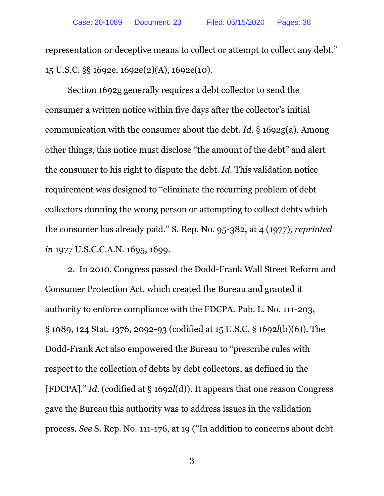representation or deceptive means to collect or attempt to collect any debt." 15 U.S.C. §§ 1692e, 1692e(2)(A), 1692e(10).

Section 1692g generally requires a debt collector to send the consumer a written notice within five days after the collector's initial communication with the consumer about the debt. *Id*. § 1692g(a). Among other things, this notice must disclose "the amount of the debt" and alert the consumer to his right to dispute the debt. *Id.* This validation notice requirement was designed to ''eliminate the recurring problem of debt collectors dunning the wrong person or attempting to collect debts which the consumer has already paid.'' S. Rep. No. 95-382, at 4 (1977)*, reprinted in* 1977 U.S.C.C.A.N. 1695, 1699.

2. In 2010, Congress passed the Dodd-Frank Wall Street Reform and Consumer Protection Act, which created the Bureau and granted it authority to enforce compliance with the FDCPA. Pub. L. No. 111-203, § 1089, 124 Stat. 1376, 2092-93 (codified at 15 U.S.C. § 1692*l*(b)(6)). The Dodd-Frank Act also empowered the Bureau to "prescribe rules with respect to the collection of debts by debt collectors, as defined in the [FDCPA]." *Id.* (codified at § 1692*l*(d)). It appears that one reason Congress gave the Bureau this authority was to address issues in the validation process. *See* S. Rep. No. 111-176, at 19 (''In addition to concerns about debt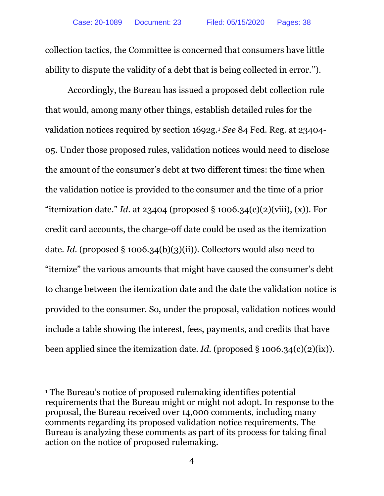collection tactics, the Committee is concerned that consumers have little ability to dispute the validity of a debt that is being collected in error.'').

Accordingly, the Bureau has issued a proposed debt collection rule that would, among many other things, establish detailed rules for the validation notices required by section 1692g.1 *See* 84 Fed. Reg. at 23404- 05. Under those proposed rules, validation notices would need to disclose the amount of the consumer's debt at two different times: the time when the validation notice is provided to the consumer and the time of a prior "itemization date." *Id.* at 23404 (proposed  $\S$  1006.34(c)(2)(viii), (x)). For credit card accounts, the charge-off date could be used as the itemization date. *Id.* (proposed § 1006.34(b)(3)(ii)). Collectors would also need to "itemize" the various amounts that might have caused the consumer's debt to change between the itemization date and the date the validation notice is provided to the consumer. So, under the proposal, validation notices would include a table showing the interest, fees, payments, and credits that have been applied since the itemization date. *Id.* (proposed  $\S$  1006.34(c)(2)(ix)).

<sup>1</sup> The Bureau's notice of proposed rulemaking identifies potential requirements that the Bureau might or might not adopt. In response to the proposal, the Bureau received over 14,000 comments, including many comments regarding its proposed validation notice requirements. The Bureau is analyzing these comments as part of its process for taking final action on the notice of proposed rulemaking.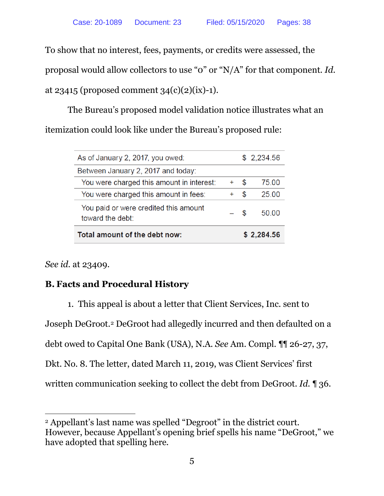To show that no interest, fees, payments, or credits were assessed, the proposal would allow collectors to use "0" or "N/A" for that component. *Id.*  at 23415 (proposed comment  $34(c)(2)(ix)-1$ ).

The Bureau's proposed model validation notice illustrates what an itemization could look like under the Bureau's proposed rule:

| Total amount of the debt now:                             |       |     | \$2,284.56 |
|-----------------------------------------------------------|-------|-----|------------|
| You paid or were credited this amount<br>toward the debt: | - \$  |     | 50.00      |
| You were charged this amount in fees:                     | $\pm$ | \$. | 25.00      |
| You were charged this amount in interest:                 | ÷     | \$. | 75 00      |
| Between January 2, 2017 and today:                        |       |     |            |
| As of January 2, 2017, you owed:                          |       |     | \$2,234.56 |
|                                                           |       |     |            |

*See id.* at 23409.

# **B. Facts and Procedural History**

1. This appeal is about a letter that Client Services, Inc. sent to Joseph DeGroot.2 DeGroot had allegedly incurred and then defaulted on a debt owed to Capital One Bank (USA), N.A. *See* Am. Compl. ¶¶ 26-27, 37, Dkt. No. 8. The letter, dated March 11, 2019, was Client Services' first written communication seeking to collect the debt from DeGroot. *Id.* ¶ 36.

 $\overline{a}$ <sup>2</sup> Appellant's last name was spelled "Degroot" in the district court. However, because Appellant's opening brief spells his name "DeGroot," we have adopted that spelling here.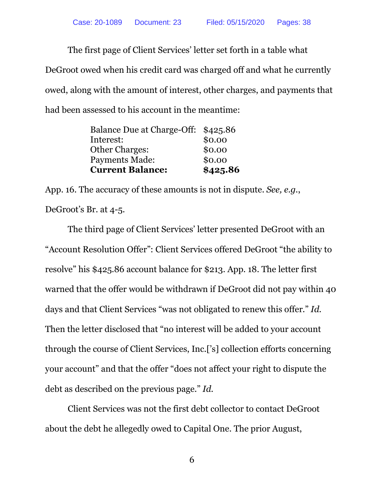The first page of Client Services' letter set forth in a table what DeGroot owed when his credit card was charged off and what he currently owed, along with the amount of interest, other charges, and payments that had been assessed to his account in the meantime:

| <b>Current Balance:</b>    | \$425.86 |
|----------------------------|----------|
| <b>Payments Made:</b>      | \$0.00   |
| <b>Other Charges:</b>      | \$0.00   |
| Interest:                  | \$0.00   |
| Balance Due at Charge-Off: | \$425.86 |

App. 16. The accuracy of these amounts is not in dispute. *See, e.g.*, DeGroot's Br. at 4-5.

The third page of Client Services' letter presented DeGroot with an "Account Resolution Offer": Client Services offered DeGroot "the ability to resolve" his \$425.86 account balance for \$213. App. 18. The letter first warned that the offer would be withdrawn if DeGroot did not pay within 40 days and that Client Services "was not obligated to renew this offer." *Id.* Then the letter disclosed that "no interest will be added to your account through the course of Client Services, Inc.['s] collection efforts concerning your account" and that the offer "does not affect your right to dispute the debt as described on the previous page." *Id.*

Client Services was not the first debt collector to contact DeGroot about the debt he allegedly owed to Capital One. The prior August,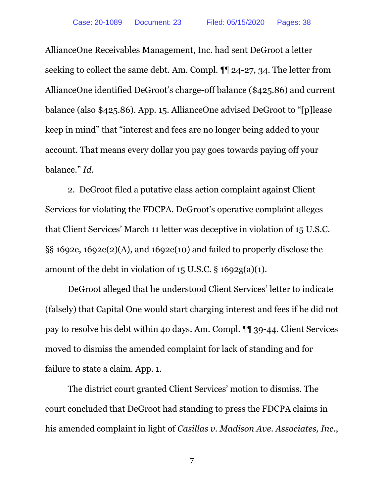AllianceOne Receivables Management, Inc. had sent DeGroot a letter seeking to collect the same debt. Am. Compl. ¶¶ 24-27, 34. The letter from AllianceOne identified DeGroot's charge-off balance (\$425.86) and current balance (also \$425.86). App. 15. AllianceOne advised DeGroot to "[p]lease keep in mind" that "interest and fees are no longer being added to your account. That means every dollar you pay goes towards paying off your balance." *Id.*

2. DeGroot filed a putative class action complaint against Client Services for violating the FDCPA. DeGroot's operative complaint alleges that Client Services' March 11 letter was deceptive in violation of 15 U.S.C. §§ 1692e, 1692e(2)(A), and 1692e(10) and failed to properly disclose the amount of the debt in violation of 15 U.S.C. § 1692g(a)(1).

DeGroot alleged that he understood Client Services' letter to indicate (falsely) that Capital One would start charging interest and fees if he did not pay to resolve his debt within 4o days. Am. Compl. ¶¶ 39-44. Client Services moved to dismiss the amended complaint for lack of standing and for failure to state a claim. App. 1.

The district court granted Client Services' motion to dismiss. The court concluded that DeGroot had standing to press the FDCPA claims in his amended complaint in light of *Casillas v. Madison Ave. Associates, Inc.*,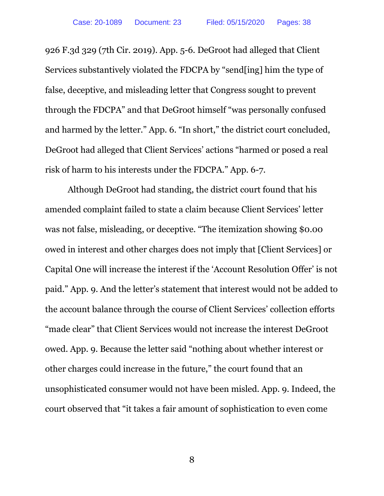926 F.3d 329 (7th Cir. 2019). App. 5-6. DeGroot had alleged that Client Services substantively violated the FDCPA by "send[ing] him the type of false, deceptive, and misleading letter that Congress sought to prevent through the FDCPA" and that DeGroot himself "was personally confused and harmed by the letter." App. 6. "In short," the district court concluded, DeGroot had alleged that Client Services' actions "harmed or posed a real risk of harm to his interests under the FDCPA." App. 6-7.

Although DeGroot had standing, the district court found that his amended complaint failed to state a claim because Client Services' letter was not false, misleading, or deceptive. "The itemization showing \$0.00 owed in interest and other charges does not imply that [Client Services] or Capital One will increase the interest if the 'Account Resolution Offer' is not paid." App. 9. And the letter's statement that interest would not be added to the account balance through the course of Client Services' collection efforts "made clear" that Client Services would not increase the interest DeGroot owed. App. 9. Because the letter said "nothing about whether interest or other charges could increase in the future," the court found that an unsophisticated consumer would not have been misled. App. 9. Indeed, the court observed that "it takes a fair amount of sophistication to even come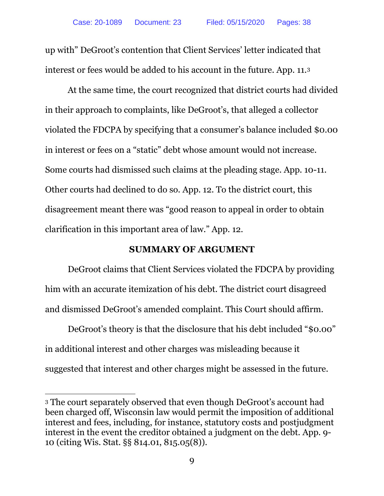up with" DeGroot's contention that Client Services' letter indicated that interest or fees would be added to his account in the future. App. 11.3

At the same time, the court recognized that district courts had divided in their approach to complaints, like DeGroot's, that alleged a collector violated the FDCPA by specifying that a consumer's balance included \$0.00 in interest or fees on a "static" debt whose amount would not increase. Some courts had dismissed such claims at the pleading stage. App. 10-11. Other courts had declined to do so. App. 12. To the district court, this disagreement meant there was "good reason to appeal in order to obtain clarification in this important area of law." App. 12.

### **SUMMARY OF ARGUMENT**

DeGroot claims that Client Services violated the FDCPA by providing him with an accurate itemization of his debt. The district court disagreed and dismissed DeGroot's amended complaint. This Court should affirm.

DeGroot's theory is that the disclosure that his debt included "\$0.00" in additional interest and other charges was misleading because it suggested that interest and other charges might be assessed in the future.

<sup>3</sup> The court separately observed that even though DeGroot's account had been charged off, Wisconsin law would permit the imposition of additional interest and fees, including, for instance, statutory costs and postjudgment interest in the event the creditor obtained a judgment on the debt. App. 9- 10 (citing Wis. Stat. §§ 814.01, 815.05(8)).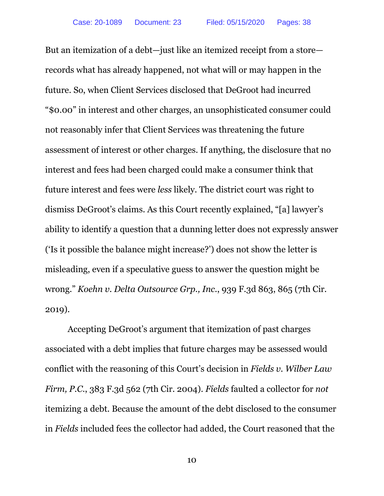But an itemization of a debt—just like an itemized receipt from a store records what has already happened, not what will or may happen in the future. So, when Client Services disclosed that DeGroot had incurred "\$0.00" in interest and other charges, an unsophisticated consumer could not reasonably infer that Client Services was threatening the future assessment of interest or other charges. If anything, the disclosure that no interest and fees had been charged could make a consumer think that future interest and fees were *less* likely. The district court was right to dismiss DeGroot's claims. As this Court recently explained, "[a] lawyer's ability to identify a question that a dunning letter does not expressly answer ('Is it possible the balance might increase?') does not show the letter is misleading, even if a speculative guess to answer the question might be wrong." *Koehn v. Delta Outsource Grp., Inc.*, 939 F.3d 863, 865 (7th Cir. 2019).

Accepting DeGroot's argument that itemization of past charges associated with a debt implies that future charges may be assessed would conflict with the reasoning of this Court's decision in *Fields v. Wilber Law Firm, P.C.*, 383 F.3d 562 (7th Cir. 2004). *Fields* faulted a collector for *not* itemizing a debt. Because the amount of the debt disclosed to the consumer in *Fields* included fees the collector had added, the Court reasoned that the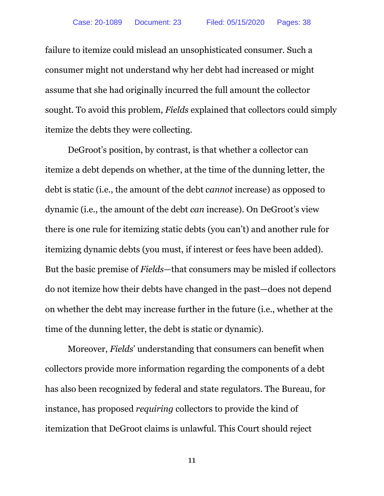failure to itemize could mislead an unsophisticated consumer. Such a consumer might not understand why her debt had increased or might assume that she had originally incurred the full amount the collector sought. To avoid this problem, *Fields* explained that collectors could simply itemize the debts they were collecting.

DeGroot's position, by contrast, is that whether a collector can itemize a debt depends on whether, at the time of the dunning letter, the debt is static (i.e., the amount of the debt *cannot* increase) as opposed to dynamic (i.e., the amount of the debt *can* increase). On DeGroot's view there is one rule for itemizing static debts (you can't) and another rule for itemizing dynamic debts (you must, if interest or fees have been added). But the basic premise of *Fields*—that consumers may be misled if collectors do not itemize how their debts have changed in the past—does not depend on whether the debt may increase further in the future (i.e., whether at the time of the dunning letter, the debt is static or dynamic).

Moreover, *Fields*' understanding that consumers can benefit when collectors provide more information regarding the components of a debt has also been recognized by federal and state regulators. The Bureau, for instance, has proposed *requiring* collectors to provide the kind of itemization that DeGroot claims is unlawful. This Court should reject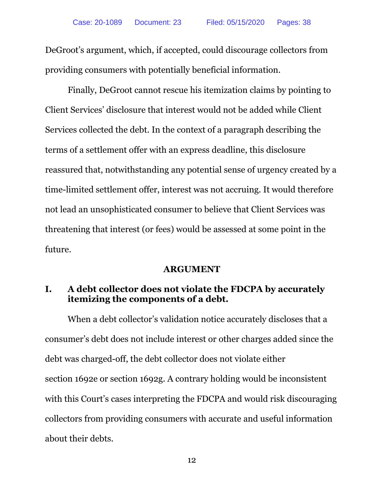DeGroot's argument, which, if accepted, could discourage collectors from providing consumers with potentially beneficial information.

Finally, DeGroot cannot rescue his itemization claims by pointing to Client Services' disclosure that interest would not be added while Client Services collected the debt. In the context of a paragraph describing the terms of a settlement offer with an express deadline, this disclosure reassured that, notwithstanding any potential sense of urgency created by a time-limited settlement offer, interest was not accruing. It would therefore not lead an unsophisticated consumer to believe that Client Services was threatening that interest (or fees) would be assessed at some point in the future.

# **ARGUMENT**

# **I. A debt collector does not violate the FDCPA by accurately itemizing the components of a debt.**

When a debt collector's validation notice accurately discloses that a consumer's debt does not include interest or other charges added since the debt was charged-off, the debt collector does not violate either section 1692e or section 1692g. A contrary holding would be inconsistent with this Court's cases interpreting the FDCPA and would risk discouraging collectors from providing consumers with accurate and useful information about their debts.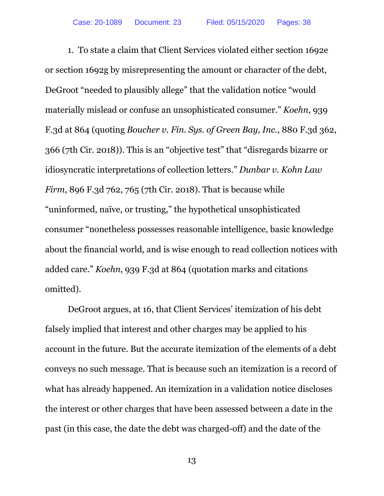1. To state a claim that Client Services violated either section 1692e or section 1692g by misrepresenting the amount or character of the debt, DeGroot "needed to plausibly allege" that the validation notice "would materially mislead or confuse an unsophisticated consumer." *Koehn*, 939 F.3d at 864 (quoting *Boucher v. Fin. Sys. of Green Bay, Inc.*, 880 F.3d 362, 366 (7th Cir. 2018)). This is an "objective test" that "disregards bizarre or idiosyncratic interpretations of collection letters." *Dunbar v. Kohn Law Firm*, 896 F.3d 762, 765 (7th Cir. 2018). That is because while "uninformed, naïve, or trusting," the hypothetical unsophisticated consumer "nonetheless possesses reasonable intelligence, basic knowledge about the financial world, and is wise enough to read collection notices with added care." *Koehn*, 939 F.3d at 864 (quotation marks and citations omitted).

DeGroot argues, at 16, that Client Services' itemization of his debt falsely implied that interest and other charges may be applied to his account in the future. But the accurate itemization of the elements of a debt conveys no such message. That is because such an itemization is a record of what has already happened. An itemization in a validation notice discloses the interest or other charges that have been assessed between a date in the past (in this case, the date the debt was charged-off) and the date of the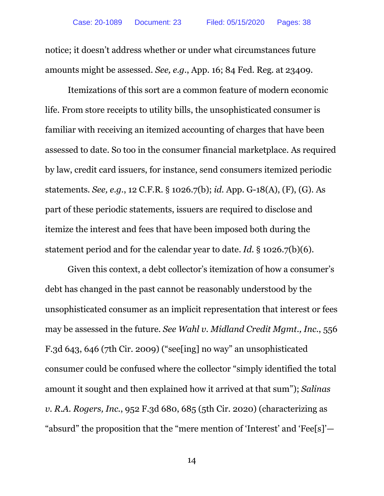notice; it doesn't address whether or under what circumstances future amounts might be assessed. *See, e.g.*, App. 16; 84 Fed. Reg. at 23409.

Itemizations of this sort are a common feature of modern economic life. From store receipts to utility bills, the unsophisticated consumer is familiar with receiving an itemized accounting of charges that have been assessed to date. So too in the consumer financial marketplace. As required by law, credit card issuers, for instance, send consumers itemized periodic statements. *See, e.g.*, 12 C.F.R. § 1026.7(b); *id.* App. G-18(A), (F), (G). As part of these periodic statements, issuers are required to disclose and itemize the interest and fees that have been imposed both during the statement period and for the calendar year to date. *Id.* § 1026.7(b)(6).

Given this context, a debt collector's itemization of how a consumer's debt has changed in the past cannot be reasonably understood by the unsophisticated consumer as an implicit representation that interest or fees may be assessed in the future. *See Wahl v. Midland Credit Mgmt., Inc.*, 556 F.3d 643, 646 (7th Cir. 2009) ("see[ing] no way" an unsophisticated consumer could be confused where the collector "simply identified the total amount it sought and then explained how it arrived at that sum"); *Salinas v. R.A. Rogers, Inc.*, 952 F.3d 680, 685 (5th Cir. 2020) (characterizing as "absurd" the proposition that the "mere mention of 'Interest' and 'Fee[s]'—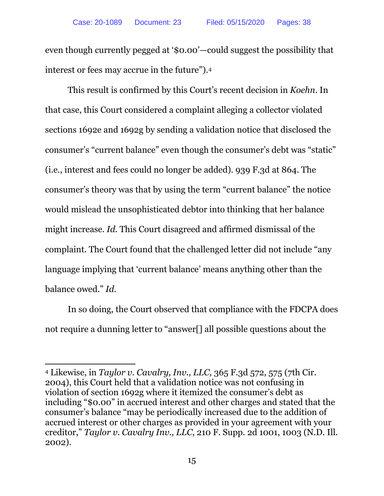even though currently pegged at '\$0.00'—could suggest the possibility that interest or fees may accrue in the future").4

This result is confirmed by this Court's recent decision in *Koehn*. In that case, this Court considered a complaint alleging a collector violated sections 1692e and 1692g by sending a validation notice that disclosed the consumer's "current balance" even though the consumer's debt was "static" (i.e., interest and fees could no longer be added). 939 F.3d at 864. The consumer's theory was that by using the term "current balance" the notice would mislead the unsophisticated debtor into thinking that her balance might increase. *Id.* This Court disagreed and affirmed dismissal of the complaint. The Court found that the challenged letter did not include "any language implying that 'current balance' means anything other than the balance owed." *Id.*

In so doing, the Court observed that compliance with the FDCPA does not require a dunning letter to "answer[] all possible questions about the

 $\overline{a}$ <sup>4</sup> Likewise, in *Taylor v. Cavalry, Inv., LLC*, 365 F.3d 572, 575 (7th Cir. 2004), this Court held that a validation notice was not confusing in violation of section 1692g where it itemized the consumer's debt as including "\$0.00" in accrued interest and other charges and stated that the consumer's balance "may be periodically increased due to the addition of accrued interest or other charges as provided in your agreement with your creditor," *Taylor v. Cavalry Inv., LLC*, 210 F. Supp. 2d 1001, 1003 (N.D. Ill. 2002).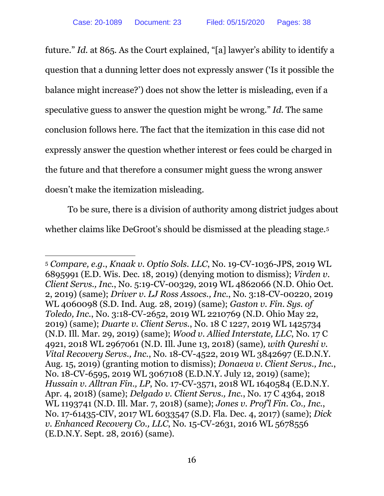future." *Id.* at 865. As the Court explained, "[a] lawyer's ability to identify a question that a dunning letter does not expressly answer ('Is it possible the balance might increase?') does not show the letter is misleading, even if a speculative guess to answer the question might be wrong." *Id.* The same conclusion follows here. The fact that the itemization in this case did not expressly answer the question whether interest or fees could be charged in the future and that therefore a consumer might guess the wrong answer doesn't make the itemization misleading.

To be sure, there is a division of authority among district judges about whether claims like DeGroot's should be dismissed at the pleading stage.<sup>5</sup>

<sup>5</sup> *Compare, e.g.*, *Knaak v. Optio Sols. LLC*, No. 19-CV-1036-JPS, 2019 WL 6895991 (E.D. Wis. Dec. 18, 2019) (denying motion to dismiss); *Virden v. Client Servs., Inc.*, No. 5:19-CV-00329, 2019 WL 4862066 (N.D. Ohio Oct. 2, 2019) (same); *Driver v. LJ Ross Assocs., Inc.*, No. 3:18-CV-00220, 2019 WL 4060098 (S.D. Ind. Aug. 28, 2019) (same); *Gaston v. Fin. Sys. of Toledo, Inc.*, No. 3:18-CV-2652, 2019 WL 2210769 (N.D. Ohio May 22, 2019) (same); *Duarte v. Client Servs.*, No. 18 C 1227, 2019 WL 1425734 (N.D. Ill. Mar. 29, 2019) (same); *Wood v. Allied Interstate, LLC*, No. 17 C 4921, 2018 WL 2967061 (N.D. Ill. June 13, 2018) (same)*, with Qureshi v. Vital Recovery Servs., Inc.*, No. 18-CV-4522, 2019 WL 3842697 (E.D.N.Y. Aug. 15, 2019) (granting motion to dismiss); *Donaeva v. Client Servs., Inc.*, No. 18-CV-6595, 2019 WL 3067108 (E.D.N.Y. July 12, 2019) (same); *Hussain v. Alltran Fin., LP*, No. 17-CV-3571, 2018 WL 1640584 (E.D.N.Y. Apr. 4, 2018) (same); *Delgado v. Client Servs., Inc.*, No. 17 C 4364, 2018 WL 1193741 (N.D. Ill. Mar. 7, 2018) (same); *Jones v. Prof'l Fin. Co., Inc.*, No. 17-61435-CIV, 2017 WL 6033547 (S.D. Fla. Dec. 4, 2017) (same); *Dick v. Enhanced Recovery Co., LLC, No.* 15-CV-2631, 2016 WL 5678556 (E.D.N.Y. Sept. 28, 2016) (same).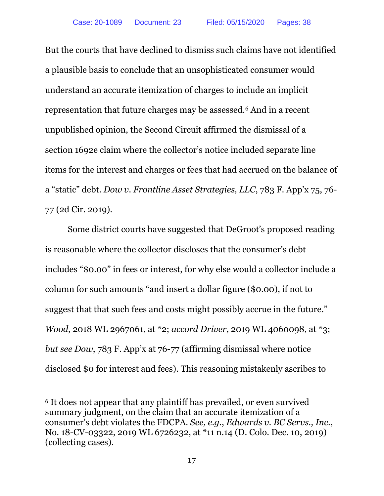But the courts that have declined to dismiss such claims have not identified a plausible basis to conclude that an unsophisticated consumer would understand an accurate itemization of charges to include an implicit representation that future charges may be assessed.6 And in a recent unpublished opinion, the Second Circuit affirmed the dismissal of a section 1692e claim where the collector's notice included separate line items for the interest and charges or fees that had accrued on the balance of a "static" debt. *Dow v. Frontline Asset Strategies, LLC*, 783 F. App'x 75, 76- 77 (2d Cir. 2019).

Some district courts have suggested that DeGroot's proposed reading is reasonable where the collector discloses that the consumer's debt includes "\$0.00" in fees or interest, for why else would a collector include a column for such amounts "and insert a dollar figure (\$0.00), if not to suggest that that such fees and costs might possibly accrue in the future." *Wood*, 2018 WL 2967061, at \*2; *accord Driver*, 2019 WL 4060098, at \*3; *but see Dow*, 783 F. App'x at 76-77 (affirming dismissal where notice disclosed \$0 for interest and fees). This reasoning mistakenly ascribes to

<sup>6</sup> It does not appear that any plaintiff has prevailed, or even survived summary judgment, on the claim that an accurate itemization of a consumer's debt violates the FDCPA. *See, e.g.*, *Edwards v. BC Servs., Inc.*, No. 18-CV-03322, 2019 WL 6726232, at \*11 n.14 (D. Colo. Dec. 10, 2019) (collecting cases).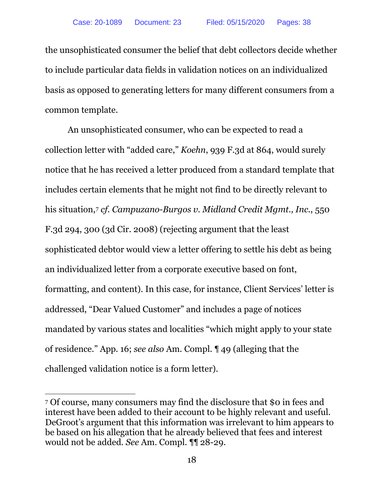the unsophisticated consumer the belief that debt collectors decide whether to include particular data fields in validation notices on an individualized basis as opposed to generating letters for many different consumers from a common template.

An unsophisticated consumer, who can be expected to read a collection letter with "added care," *Koehn*, 939 F.3d at 864, would surely notice that he has received a letter produced from a standard template that includes certain elements that he might not find to be directly relevant to his situation,7 *cf. Campuzano-Burgos v. Midland Credit Mgmt., Inc.*, 550 F.3d 294, 300 (3d Cir. 2008) (rejecting argument that the least sophisticated debtor would view a letter offering to settle his debt as being an individualized letter from a corporate executive based on font, formatting, and content). In this case, for instance, Client Services' letter is addressed, "Dear Valued Customer" and includes a page of notices mandated by various states and localities "which might apply to your state of residence." App. 16; *see also* Am. Compl. ¶ 49 (alleging that the challenged validation notice is a form letter).

<sup>7</sup> Of course, many consumers may find the disclosure that \$0 in fees and interest have been added to their account to be highly relevant and useful. DeGroot's argument that this information was irrelevant to him appears to be based on his allegation that he already believed that fees and interest would not be added. *See* Am. Compl. ¶¶ 28-29.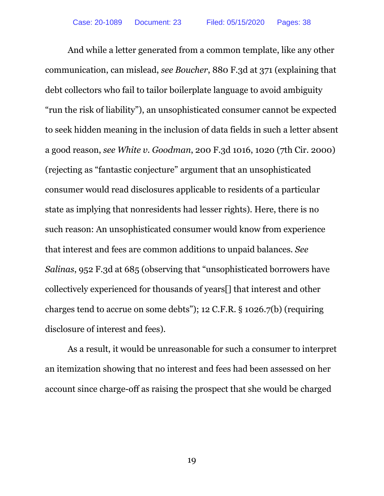And while a letter generated from a common template, like any other communication, can mislead, *see Boucher*, 880 F.3d at 371 (explaining that debt collectors who fail to tailor boilerplate language to avoid ambiguity "run the risk of liability"), an unsophisticated consumer cannot be expected to seek hidden meaning in the inclusion of data fields in such a letter absent a good reason, *see White v. Goodman*, 200 F.3d 1016, 1020 (7th Cir. 2000) (rejecting as "fantastic conjecture" argument that an unsophisticated consumer would read disclosures applicable to residents of a particular state as implying that nonresidents had lesser rights). Here, there is no such reason: An unsophisticated consumer would know from experience that interest and fees are common additions to unpaid balances. *See Salinas*, 952 F.3d at 685 (observing that "unsophisticated borrowers have collectively experienced for thousands of years[] that interest and other charges tend to accrue on some debts"); 12 C.F.R. § 1026.7(b) (requiring disclosure of interest and fees).

As a result, it would be unreasonable for such a consumer to interpret an itemization showing that no interest and fees had been assessed on her account since charge-off as raising the prospect that she would be charged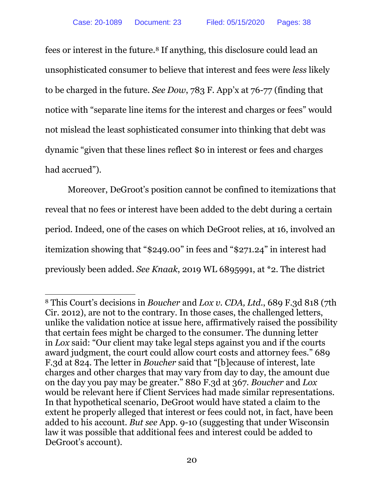fees or interest in the future.8 If anything, this disclosure could lead an unsophisticated consumer to believe that interest and fees were *less* likely to be charged in the future. *See Dow*, 783 F. App'x at 76-77 (finding that notice with "separate line items for the interest and charges or fees" would not mislead the least sophisticated consumer into thinking that debt was dynamic "given that these lines reflect \$0 in interest or fees and charges had accrued").

Moreover, DeGroot's position cannot be confined to itemizations that reveal that no fees or interest have been added to the debt during a certain period. Indeed, one of the cases on which DeGroot relies, at 16, involved an itemization showing that "\$249.00" in fees and "\$271.24" in interest had previously been added. *See Knaak*, 2019 WL 6895991, at \*2. The district

 $\overline{a}$ <sup>8</sup> This Court's decisions in *Boucher* and *Lox v. CDA, Ltd.*, 689 F.3d 818 (7th Cir. 2012), are not to the contrary. In those cases, the challenged letters, unlike the validation notice at issue here, affirmatively raised the possibility that certain fees might be charged to the consumer. The dunning letter in *Lox* said: "Our client may take legal steps against you and if the courts award judgment, the court could allow court costs and attorney fees." 689 F.3d at 824. The letter in *Boucher* said that "[b]ecause of interest, late charges and other charges that may vary from day to day, the amount due on the day you pay may be greater." 880 F.3d at 367. *Boucher* and *Lox*  would be relevant here if Client Services had made similar representations. In that hypothetical scenario, DeGroot would have stated a claim to the extent he properly alleged that interest or fees could not, in fact, have been added to his account. *But see* App. 9-10 (suggesting that under Wisconsin law it was possible that additional fees and interest could be added to DeGroot's account).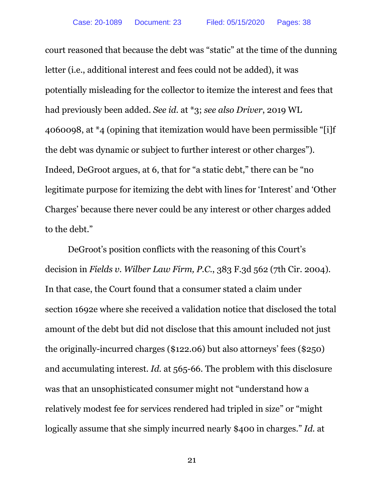court reasoned that because the debt was "static" at the time of the dunning letter (i.e., additional interest and fees could not be added), it was potentially misleading for the collector to itemize the interest and fees that had previously been added. *See id.* at \*3; *see also Driver*, 2019 WL 4060098, at \*4 (opining that itemization would have been permissible "[i]f the debt was dynamic or subject to further interest or other charges"). Indeed, DeGroot argues, at 6, that for "a static debt," there can be "no legitimate purpose for itemizing the debt with lines for 'Interest' and 'Other Charges' because there never could be any interest or other charges added to the debt."

DeGroot's position conflicts with the reasoning of this Court's decision in *Fields v. Wilber Law Firm, P.C.*, 383 F.3d 562 (7th Cir. 2004). In that case, the Court found that a consumer stated a claim under section 1692e where she received a validation notice that disclosed the total amount of the debt but did not disclose that this amount included not just the originally-incurred charges (\$122.06) but also attorneys' fees (\$250) and accumulating interest. *Id.* at 565-66. The problem with this disclosure was that an unsophisticated consumer might not "understand how a relatively modest fee for services rendered had tripled in size" or "might logically assume that she simply incurred nearly \$400 in charges." *Id.* at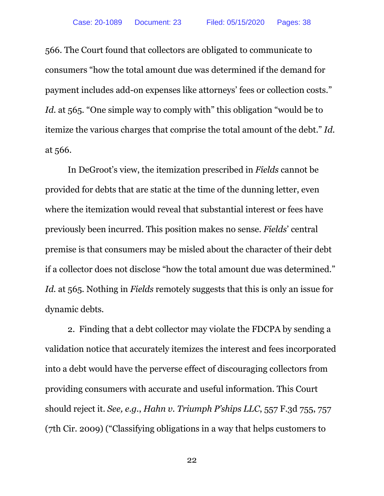566. The Court found that collectors are obligated to communicate to consumers "how the total amount due was determined if the demand for payment includes add-on expenses like attorneys' fees or collection costs." *Id.* at 565. "One simple way to comply with" this obligation "would be to itemize the various charges that comprise the total amount of the debt." *Id.*  at 566.

In DeGroot's view, the itemization prescribed in *Fields* cannot be provided for debts that are static at the time of the dunning letter, even where the itemization would reveal that substantial interest or fees have previously been incurred. This position makes no sense. *Fields*' central premise is that consumers may be misled about the character of their debt if a collector does not disclose "how the total amount due was determined." *Id.* at 565. Nothing in *Fields* remotely suggests that this is only an issue for dynamic debts.

2. Finding that a debt collector may violate the FDCPA by sending a validation notice that accurately itemizes the interest and fees incorporated into a debt would have the perverse effect of discouraging collectors from providing consumers with accurate and useful information. This Court should reject it. *See, e.g.*, *Hahn v. Triumph P'ships LLC*, 557 F.3d 755, 757 (7th Cir. 2009) ("Classifying obligations in a way that helps customers to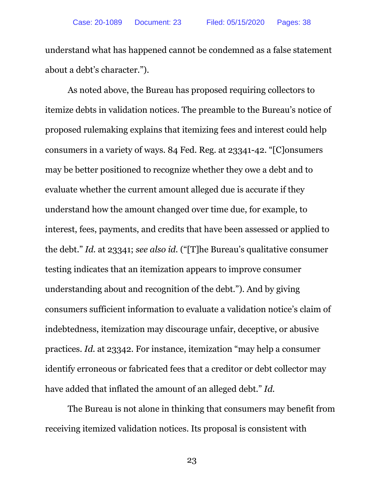understand what has happened cannot be condemned as a false statement about a debt's character.").

As noted above, the Bureau has proposed requiring collectors to itemize debts in validation notices. The preamble to the Bureau's notice of proposed rulemaking explains that itemizing fees and interest could help consumers in a variety of ways. 84 Fed. Reg. at 23341-42. "[C]onsumers may be better positioned to recognize whether they owe a debt and to evaluate whether the current amount alleged due is accurate if they understand how the amount changed over time due, for example, to interest, fees, payments, and credits that have been assessed or applied to the debt." *Id.* at 23341; *see also id.* ("[T]he Bureau's qualitative consumer testing indicates that an itemization appears to improve consumer understanding about and recognition of the debt."). And by giving consumers sufficient information to evaluate a validation notice's claim of indebtedness, itemization may discourage unfair, deceptive, or abusive practices. *Id.* at 23342. For instance, itemization "may help a consumer identify erroneous or fabricated fees that a creditor or debt collector may have added that inflated the amount of an alleged debt." *Id.*

The Bureau is not alone in thinking that consumers may benefit from receiving itemized validation notices. Its proposal is consistent with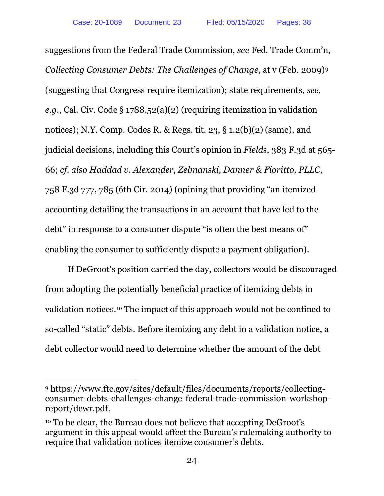suggestions from the Federal Trade Commission, *see* Fed. Trade Comm'n, *Collecting Consumer Debts: The Challenges of Change*, at v (Feb. 2009)9 (suggesting that Congress require itemization); state requirements, *see, e.g.*, Cal. Civ. Code § 1788.52(a)(2) (requiring itemization in validation notices); N.Y. Comp. Codes R. & Regs. tit. 23, § 1.2(b)(2) (same), and judicial decisions, including this Court's opinion in *Fields*, 383 F.3d at 565- 66; *cf. also Haddad v. Alexander, Zelmanski, Danner & Fioritto, PLLC*, 758 F.3d 777, 785 (6th Cir. 2014) (opining that providing "an itemized accounting detailing the transactions in an account that have led to the debt" in response to a consumer dispute "is often the best means of" enabling the consumer to sufficiently dispute a payment obligation).

If DeGroot's position carried the day, collectors would be discouraged from adopting the potentially beneficial practice of itemizing debts in validation notices.10 The impact of this approach would not be confined to so-called "static" debts. Before itemizing any debt in a validation notice, a debt collector would need to determine whether the amount of the debt

 $\overline{a}$ <sup>9</sup> https://www.ftc.gov/sites/default/files/documents/reports/collectingconsumer-debts-challenges-change-federal-trade-commission-workshopreport/dcwr.pdf.

<sup>10</sup> To be clear, the Bureau does not believe that accepting DeGroot's argument in this appeal would affect the Bureau's rulemaking authority to require that validation notices itemize consumer's debts.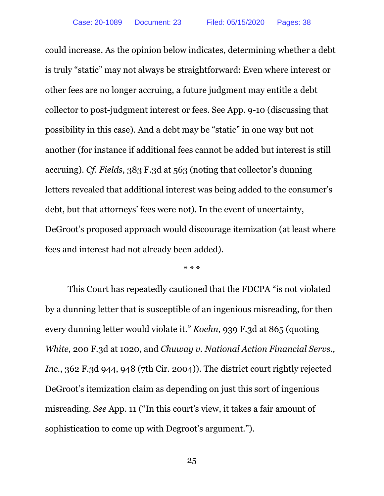could increase. As the opinion below indicates, determining whether a debt is truly "static" may not always be straightforward: Even where interest or other fees are no longer accruing, a future judgment may entitle a debt collector to post-judgment interest or fees. See App. 9-10 (discussing that possibility in this case). And a debt may be "static" in one way but not another (for instance if additional fees cannot be added but interest is still accruing). *Cf. Fields*, 383 F.3d at 563 (noting that collector's dunning letters revealed that additional interest was being added to the consumer's debt, but that attorneys' fees were not). In the event of uncertainty, DeGroot's proposed approach would discourage itemization (at least where fees and interest had not already been added).

\* \* \*

This Court has repeatedly cautioned that the FDCPA "is not violated by a dunning letter that is susceptible of an ingenious misreading, for then every dunning letter would violate it." *Koehn*, 939 F.3d at 865 (quoting *White*, 200 F.3d at 1020, and *Chuway v. National Action Financial Servs., Inc.*, 362 F.3d 944, 948 (7th Cir. 2004)). The district court rightly rejected DeGroot's itemization claim as depending on just this sort of ingenious misreading. *See* App. 11 ("In this court's view, it takes a fair amount of sophistication to come up with Degroot's argument.").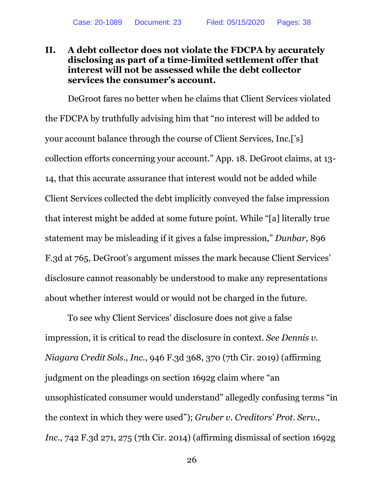# **II. A debt collector does not violate the FDCPA by accurately disclosing as part of a time-limited settlement offer that interest will not be assessed while the debt collector services the consumer's account.**

DeGroot fares no better when he claims that Client Services violated the FDCPA by truthfully advising him that "no interest will be added to your account balance through the course of Client Services, Inc.['s] collection efforts concerning your account." App. 18. DeGroot claims, at 13- 14, that this accurate assurance that interest would not be added while Client Services collected the debt implicitly conveyed the false impression that interest might be added at some future point. While "[a] literally true statement may be misleading if it gives a false impression," *Dunbar*, 896 F.3d at 765, DeGroot's argument misses the mark because Client Services' disclosure cannot reasonably be understood to make any representations about whether interest would or would not be charged in the future.

To see why Client Services' disclosure does not give a false impression, it is critical to read the disclosure in context. *See Dennis v. Niagara Credit Sols., Inc.*, 946 F.3d 368, 370 (7th Cir. 2019) (affirming judgment on the pleadings on section 1692g claim where "an unsophisticated consumer would understand" allegedly confusing terms "in the context in which they were used"); *Gruber v. Creditors' Prot. Serv., Inc.*, 742 F.3d 271, 275 (7th Cir. 2014) (affirming dismissal of section 1692g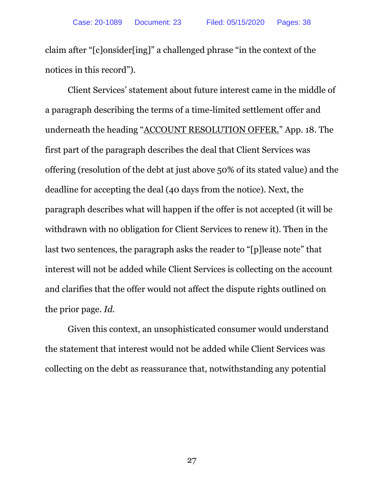claim after "[c]onsider[ing]" a challenged phrase "in the context of the notices in this record").

Client Services' statement about future interest came in the middle of a paragraph describing the terms of a time-limited settlement offer and underneath the heading "ACCOUNT RESOLUTION OFFER." App. 18. The first part of the paragraph describes the deal that Client Services was offering (resolution of the debt at just above 50% of its stated value) and the deadline for accepting the deal (40 days from the notice). Next, the paragraph describes what will happen if the offer is not accepted (it will be withdrawn with no obligation for Client Services to renew it). Then in the last two sentences, the paragraph asks the reader to "[p]lease note" that interest will not be added while Client Services is collecting on the account and clarifies that the offer would not affect the dispute rights outlined on the prior page. *Id.*

Given this context, an unsophisticated consumer would understand the statement that interest would not be added while Client Services was collecting on the debt as reassurance that, notwithstanding any potential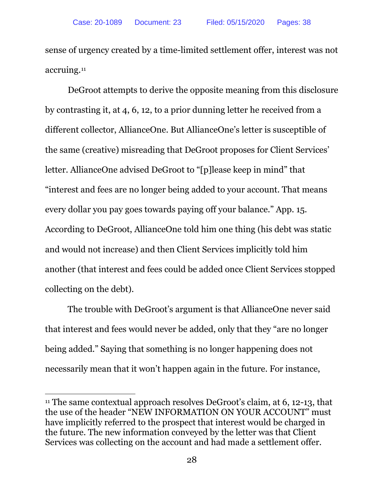sense of urgency created by a time-limited settlement offer, interest was not accruing.11

DeGroot attempts to derive the opposite meaning from this disclosure by contrasting it, at 4, 6, 12, to a prior dunning letter he received from a different collector, AllianceOne. But AllianceOne's letter is susceptible of the same (creative) misreading that DeGroot proposes for Client Services' letter. AllianceOne advised DeGroot to "[p]lease keep in mind" that "interest and fees are no longer being added to your account. That means every dollar you pay goes towards paying off your balance." App. 15. According to DeGroot, AllianceOne told him one thing (his debt was static and would not increase) and then Client Services implicitly told him another (that interest and fees could be added once Client Services stopped collecting on the debt).

The trouble with DeGroot's argument is that AllianceOne never said that interest and fees would never be added, only that they "are no longer being added." Saying that something is no longer happening does not necessarily mean that it won't happen again in the future. For instance,

<sup>&</sup>lt;sup>11</sup> The same contextual approach resolves DeGroot's claim, at 6, 12-13, that the use of the header "NEW INFORMATION ON YOUR ACCOUNT" must have implicitly referred to the prospect that interest would be charged in the future. The new information conveyed by the letter was that Client Services was collecting on the account and had made a settlement offer.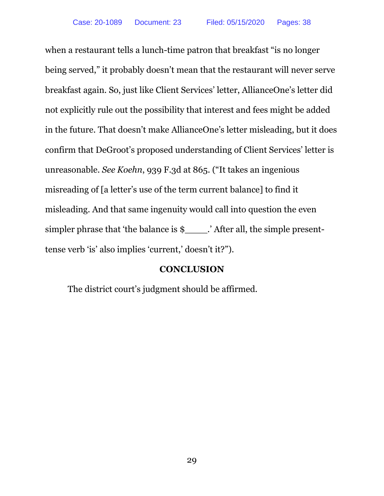when a restaurant tells a lunch-time patron that breakfast "is no longer being served," it probably doesn't mean that the restaurant will never serve breakfast again. So, just like Client Services' letter, AllianceOne's letter did not explicitly rule out the possibility that interest and fees might be added in the future. That doesn't make AllianceOne's letter misleading, but it does confirm that DeGroot's proposed understanding of Client Services' letter is unreasonable. *See Koehn*, 939 F.3d at 865. ("It takes an ingenious misreading of [a letter's use of the term current balance] to find it misleading. And that same ingenuity would call into question the even simpler phrase that 'the balance is \$\_\_\_\_.' After all, the simple presenttense verb 'is' also implies 'current,' doesn't it?").

### **CONCLUSION**

The district court's judgment should be affirmed.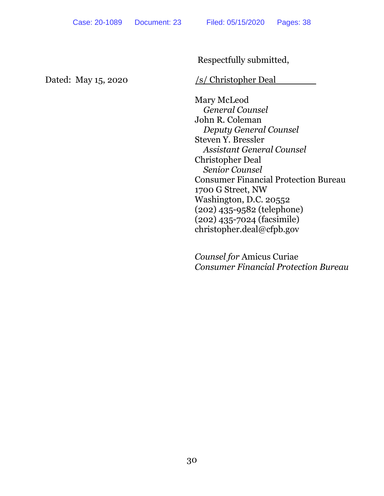Respectfully submitted,

Dated: May 15, 2020 /s/ Christopher Deal

Mary McLeod *General Counsel* John R. Coleman *Deputy General Counsel*  Steven Y. Bressler *Assistant General Counsel* Christopher Deal *Senior Counsel* Consumer Financial Protection Bureau 1700 G Street, NW Washington, D.C. 20552 (202) 435-9582 (telephone) (202) 435-7024 (facsimile) christopher.deal@cfpb.gov

*Counsel for* Amicus Curiae *Consumer Financial Protection Bureau*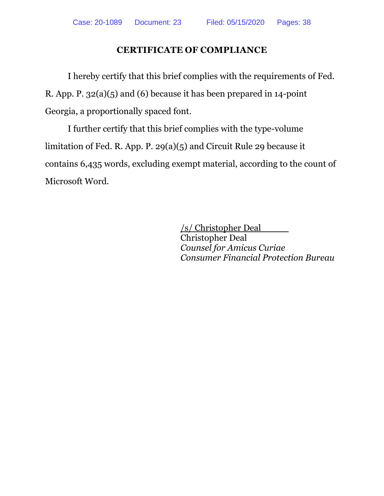# **CERTIFICATE OF COMPLIANCE**

I hereby certify that this brief complies with the requirements of Fed. R. App. P. 32(a)(5) and (6) because it has been prepared in 14-point Georgia, a proportionally spaced font.

I further certify that this brief complies with the type-volume limitation of Fed. R. App. P. 29(a)(5) and Circuit Rule 29 because it contains 6,435 words, excluding exempt material, according to the count of Microsoft Word.

> /s/ Christopher Deal Christopher Deal *Counsel for Amicus Curiae Consumer Financial Protection Bureau*